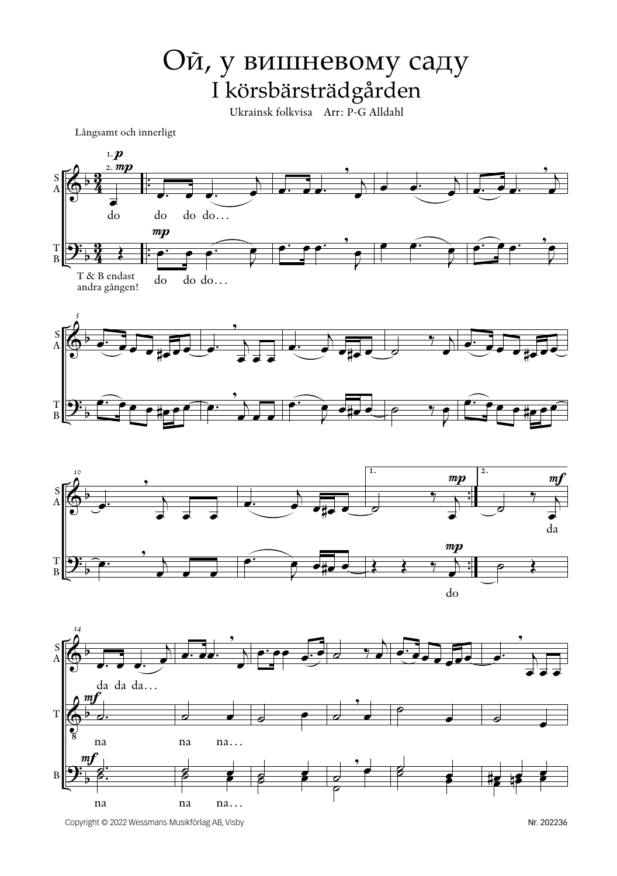## Ой, у вишневому саду I körsbärsträdgården

Ukrainsk folkvisa Arr: P-G Alldahl

Långsamt och innerligt



Copyright © 2022 Wessmans Musikförlag AB, Visby